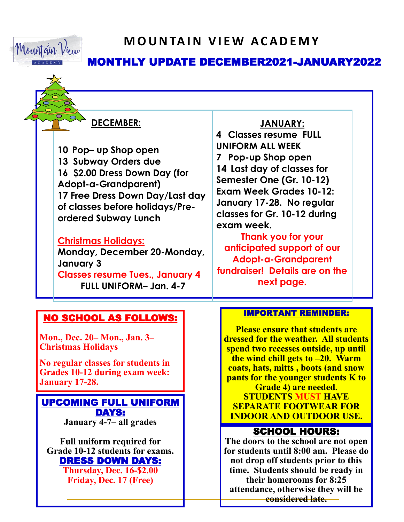

## **M O U N TA I N V I E W A C A D E M Y**

## MONTHLY UPDATE DECEMBER2021-JANUARY2022

#### **DECEMBER:**

**10 Pop– up Shop open 13 Subway Orders due 16 \$2.00 Dress Down Day (for Adopt-a-Grandparent) 17 Free Dress Down Day/Last day of classes before holidays/Preordered Subway Lunch**

#### **Christmas Holidays:**

**Monday, December 20-Monday, January 3 Classes resume Tues., January 4 FULL UNIFORM– Jan. 4-7**

#### **JANUARY:**

**4 Classes resume FULL UNIFORM ALL WEEK 7 Pop-up Shop open 14 Last day of classes for Semester One (Gr. 10-12) Exam Week Grades 10-12: January 17-28. No regular classes for Gr. 10-12 during exam week.**

**Thank you for your anticipated support of our Adopt-a-Grandparent fundraiser! Details are on the next page.**

#### NO SCHOOL AS FOLLOWS:

**Mon., Dec. 20– Mon., Jan. 3– Christmas Holidays**

**No regular classes for students in Grades 10-12 during exam week: January 17-28.**

UPCOMING FULL UNIFORM DAYS: **January 4-7– all grades**

**Full uniform required for Grade 10-12 students for exams.** DRESS DOWN DAYS:

> **Thursday, Dec. 16-\$2.00 Friday, Dec. 17 (Free)**

#### IMPORTANT REMINDER: Ī

**Please ensure that students are dressed for the weather. All students spend two recesses outside, up until the wind chill gets to –20. Warm coats, hats, mitts , boots (and snow pants for the younger students K to Grade 4) are needed.** 

**STUDENTS MUST HAVE SEPARATE FOOTWEAR FOR INDOOR AND OUTDOOR USE.**

### SCHOOL HOURS:

**The doors to the school are not open for students until 8:00 am. Please do not drop off students prior to this time. Students should be ready in their homerooms for 8:25 attendance, otherwise they will be considered late.**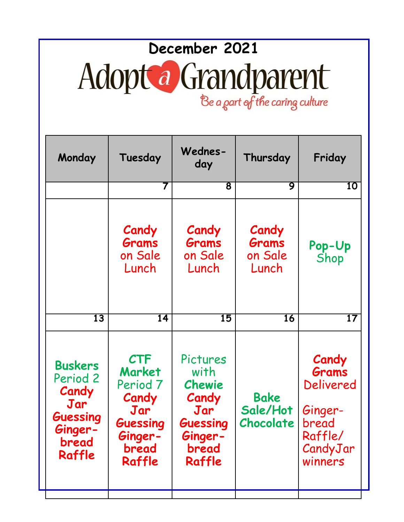# **December 2021**  Adopt a Grandparent

Be a part of the caring culture

| Monday                                                                                      | Tuesday                                                                                                      | Wednes-<br>day                                                                       | Thursday                           | Friday                                                                                   |
|---------------------------------------------------------------------------------------------|--------------------------------------------------------------------------------------------------------------|--------------------------------------------------------------------------------------|------------------------------------|------------------------------------------------------------------------------------------|
|                                                                                             | 7                                                                                                            | 8                                                                                    | 9                                  | 10                                                                                       |
|                                                                                             | Candy<br>Grams<br>on Sale<br>Lunch                                                                           | Candy<br>Grams<br>on Sale<br>Lunch                                                   | Candy<br>Grams<br>on Sale<br>Lunch | Pop-Up<br>Shop                                                                           |
| 13                                                                                          | 14                                                                                                           | 15                                                                                   | 16                                 | $\overline{17}$                                                                          |
| <b>Buskers</b><br>Period 2<br>Candy<br>Jar<br><b>Guessing</b><br>Ginger-<br>bread<br>Raffle | <b>CTF</b><br><b>Market</b><br>Period <sub>7</sub><br>Candy<br>Jar<br>Guessing<br>Ginger-<br>bread<br>Raffle | Pictures<br>with<br>Chewie<br>Candy<br>Jar<br>Guessing<br>Ginger-<br>bread<br>Raffle | Bake<br>Sale/Hot<br>Chocolate      | Candy<br>Grams<br><b>Delivered</b><br>Ginger-<br>bread<br>Raffle/<br>CandyJar<br>winners |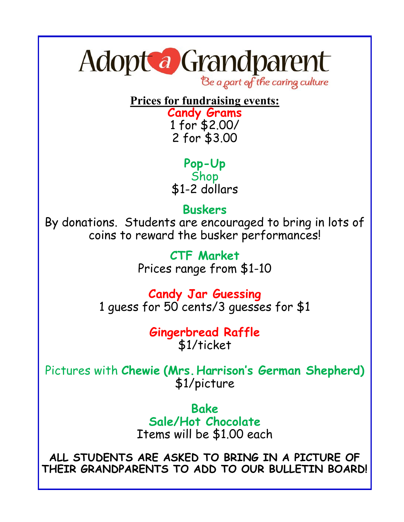# Adopt a Grandparent

Be a part of the caring culture

## **Prices for fundraising events:**

**Candy Grams** 1 for \$2.00/ 2 for \$3.00

**Pop-Up** Shop \$1-2 dollars

## **Buskers**

By donations. Students are encouraged to bring in lots of coins to reward the busker performances!

> **CTF Market** Prices range from \$1-10

**Candy Jar Guessing** 1 guess for 50 cents/3 guesses for \$1

### **Gingerbread Raffle** \$1/ticket

Pictures with **Chewie (Mrs. Harrison's German Shepherd)** \$1/picture

> **Bake Sale/Hot Chocolate** Items will be \$1.00 each

**ALL STUDENTS ARE ASKED TO BRING IN A PICTURE OF THEIR GRANDPARENTS TO ADD TO OUR BULLETIN BOARD!**